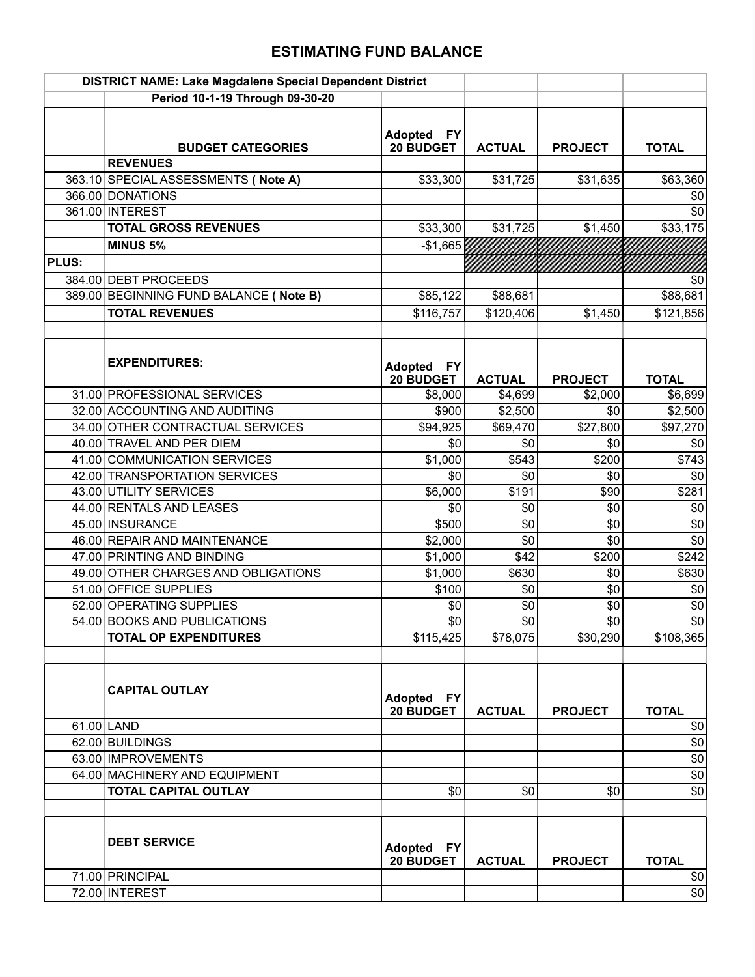## **ESTIMATING FUND BALANCE**

|              | DISTRICT NAME: Lake Magdalene Special Dependent District |                                          |                 |                |                 |
|--------------|----------------------------------------------------------|------------------------------------------|-----------------|----------------|-----------------|
|              | Period 10-1-19 Through 09-30-20                          |                                          |                 |                |                 |
|              | <b>BUDGET CATEGORIES</b>                                 | <b>Adopted</b><br><b>FY</b><br>20 BUDGET | <b>ACTUAL</b>   | <b>PROJECT</b> | <b>TOTAL</b>    |
|              | <b>REVENUES</b>                                          |                                          |                 |                |                 |
|              | 363.10 SPECIAL ASSESSMENTS ( Note A)                     | \$33,300                                 | \$31,725        | \$31,635       | \$63,360        |
|              | 366.00 DONATIONS                                         |                                          |                 |                | \$0             |
|              | 361.00 INTEREST                                          |                                          |                 |                | \$0             |
|              | <b>TOTAL GROSS REVENUES</b>                              | \$33,300                                 | \$31,725        | \$1,450        | \$33,175        |
|              | <b>MINUS 5%</b>                                          | $-$1,665$                                |                 |                |                 |
| <b>PLUS:</b> |                                                          |                                          |                 |                |                 |
|              | 384.00 DEBT PROCEEDS                                     |                                          |                 |                | \$0             |
|              | 389.00 BEGINNING FUND BALANCE ( Note B)                  | \$85,122                                 | \$88,681        |                | \$88,681        |
|              | <b>TOTAL REVENUES</b>                                    | \$116,757                                | \$120,406       | \$1,450        | \$121,856       |
|              |                                                          |                                          |                 |                |                 |
|              | <b>EXPENDITURES:</b>                                     | Adopted FY<br>20 BUDGET                  | <b>ACTUAL</b>   | <b>PROJECT</b> | <b>TOTAL</b>    |
|              | 31.00 PROFESSIONAL SERVICES                              | \$8,000                                  | \$4,699         | \$2,000        | \$6,699         |
|              | 32.00 ACCOUNTING AND AUDITING                            | \$900                                    | \$2,500         | \$0            | \$2,500         |
|              | 34.00 OTHER CONTRACTUAL SERVICES                         | \$94,925                                 | \$69,470        | \$27,800       | \$97,270        |
|              | 40.00 TRAVEL AND PER DIEM                                | \$0                                      | \$0             | \$0            | \$0             |
|              | 41.00 COMMUNICATION SERVICES                             | \$1,000                                  | \$543           | \$200          | \$743           |
|              | 42.00 TRANSPORTATION SERVICES                            | \$0                                      | \$0             | \$0            | \$0             |
|              | 43.00 UTILITY SERVICES                                   | \$6,000                                  | \$191           | \$90           | \$281           |
|              | 44.00 RENTALS AND LEASES                                 | \$0                                      | \$0             | \$0            | \$0             |
|              | 45.00 INSURANCE                                          | \$500                                    | \$0             | \$0            | $\sqrt{6}$      |
|              | 46.00 REPAIR AND MAINTENANCE                             | \$2,000                                  | \$0             | \$0            | $\overline{$}0$ |
|              | 47.00 PRINTING AND BINDING                               | \$1,000                                  | \$42            | \$200          | \$242           |
|              | 49.00 OTHER CHARGES AND OBLIGATIONS                      | \$1,000                                  | \$630           | \$0            | \$630           |
|              | 51.00 OFFICE SUPPLIES                                    | \$100                                    | \$0             | \$0            | \$0             |
|              | 52.00 OPERATING SUPPLIES                                 | \$0                                      | $\overline{50}$ | $\sqrt{6}$     | $\overline{30}$ |
|              | 54.00 BOOKS AND PUBLICATIONS                             | \$0                                      | \$0             | \$0            | $\overline{50}$ |
|              | <b>TOTAL OP EXPENDITURES</b>                             | \$115,425                                | \$78,075        | \$30,290       | \$108,365       |
|              | <b>CAPITAL OUTLAY</b>                                    | <b>Adopted</b><br> FY <br>20 BUDGET      | <b>ACTUAL</b>   | <b>PROJECT</b> | <b>TOTAL</b>    |
|              | 61.00 LAND                                               |                                          |                 |                | \$0             |
|              | 62.00 BUILDINGS                                          |                                          |                 |                | $$0$$           |
|              | 63.00 IMPROVEMENTS                                       |                                          |                 |                | $\overline{50}$ |
|              | 64.00 MACHINERY AND EQUIPMENT                            |                                          |                 |                | \$0             |
|              | <b>TOTAL CAPITAL OUTLAY</b>                              | \$0                                      | \$0             | \$0            | $\overline{50}$ |
|              | <b>DEBT SERVICE</b>                                      | <b>Adopted</b><br> FY <br>20 BUDGET      | <b>ACTUAL</b>   | <b>PROJECT</b> | <b>TOTAL</b>    |
|              | 71.00 PRINCIPAL                                          |                                          |                 |                | \$0             |
|              | 72.00 INTEREST                                           |                                          |                 |                | $\sqrt{$0}$     |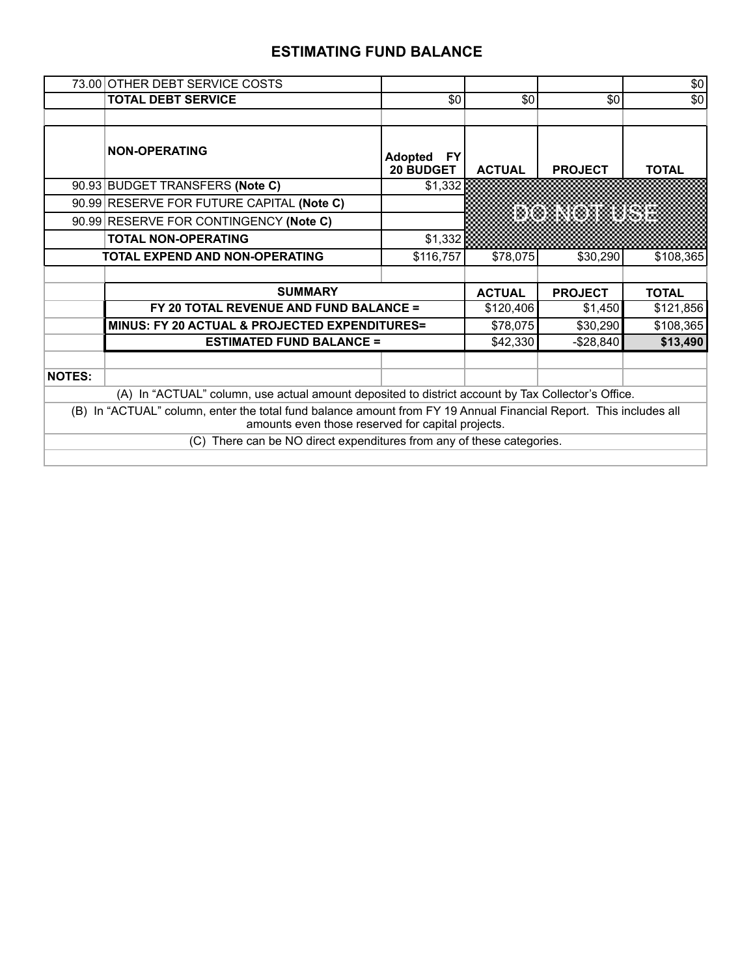## **ESTIMATING FUND BALANCE**

|               | 73.00 OTHER DEBT SERVICE COSTS                                                                                                                                         |                                           |               |                 | \$0          |
|---------------|------------------------------------------------------------------------------------------------------------------------------------------------------------------------|-------------------------------------------|---------------|-----------------|--------------|
|               | <b>TOTAL DEBT SERVICE</b>                                                                                                                                              | \$0                                       | \$0           | \$0             | \$0          |
|               |                                                                                                                                                                        |                                           |               |                 |              |
|               | <b>NON-OPERATING</b>                                                                                                                                                   | <b>Adopted</b><br>FY.<br><b>20 BUDGET</b> | <b>ACTUAL</b> | <b>PROJECT</b>  | <b>TOTAL</b> |
|               | 90.93 BUDGET TRANSFERS (Note C)                                                                                                                                        | \$1,332                                   |               |                 |              |
|               | 90.99 RESERVE FOR FUTURE CAPITAL (Note C)                                                                                                                              |                                           |               |                 |              |
|               | 90.99 RESERVE FOR CONTINGENCY (Note C)                                                                                                                                 |                                           |               | <u>donomise</u> |              |
|               | <b>TOTAL NON-OPERATING</b>                                                                                                                                             | \$1,332                                   |               |                 |              |
|               | <b>TOTAL EXPEND AND NON-OPERATING</b>                                                                                                                                  | \$116,757                                 | \$78,075      | \$30,290        | \$108,365    |
|               |                                                                                                                                                                        |                                           |               |                 |              |
|               | <b>SUMMARY</b>                                                                                                                                                         |                                           | <b>ACTUAL</b> | <b>PROJECT</b>  | <b>TOTAL</b> |
|               |                                                                                                                                                                        |                                           |               |                 |              |
|               | FY 20 TOTAL REVENUE AND FUND BALANCE =                                                                                                                                 |                                           | \$120,406     | \$1,450         | \$121,856    |
|               | MINUS: FY 20 ACTUAL & PROJECTED EXPENDITURES=                                                                                                                          |                                           | \$78,075      | \$30,290        | \$108,365    |
|               | <b>ESTIMATED FUND BALANCE =</b>                                                                                                                                        |                                           | \$42,330      | $-$28,840$      | \$13,490     |
|               |                                                                                                                                                                        |                                           |               |                 |              |
| <b>NOTES:</b> |                                                                                                                                                                        |                                           |               |                 |              |
|               | (A) In "ACTUAL" column, use actual amount deposited to district account by Tax Collector's Office.                                                                     |                                           |               |                 |              |
|               | (B) In "ACTUAL" column, enter the total fund balance amount from FY 19 Annual Financial Report. This includes all<br>amounts even those reserved for capital projects. |                                           |               |                 |              |
|               | (C) There can be NO direct expenditures from any of these categories.                                                                                                  |                                           |               |                 |              |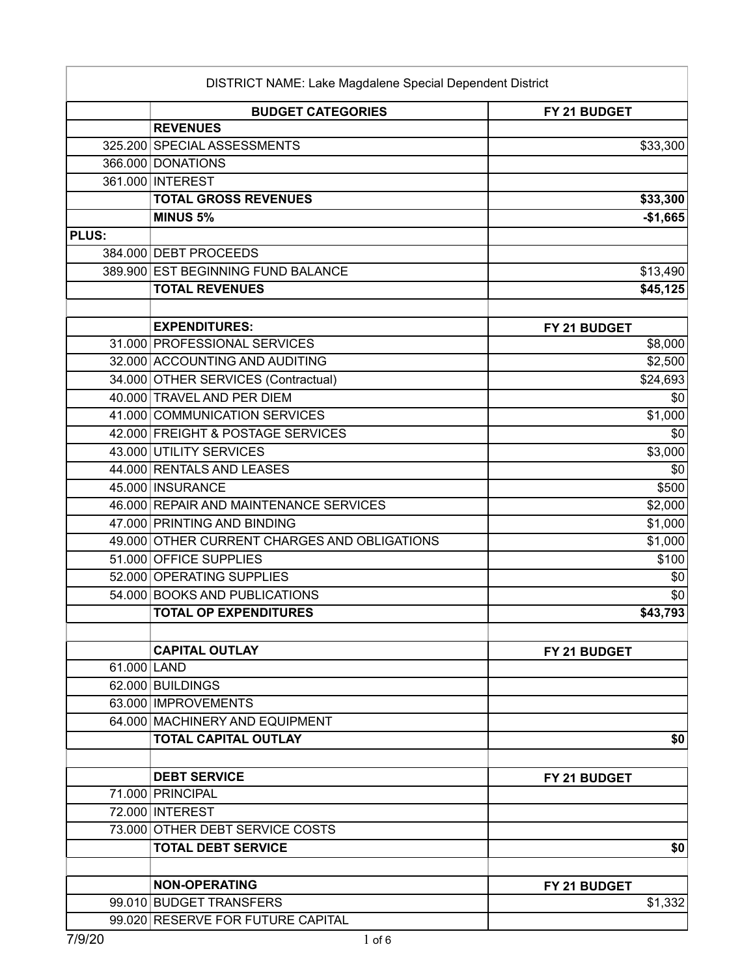|              | <b>BUDGET CATEGORIES</b>                     | FY 21 BUDGET        |
|--------------|----------------------------------------------|---------------------|
|              | <b>REVENUES</b>                              |                     |
|              | 325.200 SPECIAL ASSESSMENTS                  | \$33,300            |
|              | 366.000 DONATIONS                            |                     |
|              | 361.000 INTEREST                             |                     |
|              | <b>TOTAL GROSS REVENUES</b>                  | \$33,300            |
|              | <b>MINUS 5%</b>                              | $-$1,665$           |
| <b>PLUS:</b> |                                              |                     |
|              | 384.000 DEBT PROCEEDS                        |                     |
|              | 389.900 EST BEGINNING FUND BALANCE           | \$13,490            |
|              | <b>TOTAL REVENUES</b>                        | \$45,125            |
|              |                                              |                     |
|              | <b>EXPENDITURES:</b>                         | FY 21 BUDGET        |
|              | 31.000 PROFESSIONAL SERVICES                 | \$8,000             |
|              | 32.000 ACCOUNTING AND AUDITING               | \$2,500             |
|              | 34.000 OTHER SERVICES (Contractual)          | \$24,693            |
|              | 40.000 TRAVEL AND PER DIEM                   |                     |
|              | 41.000 COMMUNICATION SERVICES                | \$1,000             |
|              | 42.000 FREIGHT & POSTAGE SERVICES            |                     |
|              | 43.000 UTILITY SERVICES                      | \$3,000             |
|              | 44.000 RENTALS AND LEASES                    |                     |
|              | 45.000 INSURANCE                             | \$500               |
|              | 46.000 REPAIR AND MAINTENANCE SERVICES       | \$2,000             |
|              | 47.000 PRINTING AND BINDING                  | \$1,000             |
|              | 49.000 OTHER CURRENT CHARGES AND OBLIGATIONS | \$1,000             |
|              | 51.000 OFFICE SUPPLIES                       | \$100               |
|              | 52.000 OPERATING SUPPLIES                    |                     |
|              | 54.000 BOOKS AND PUBLICATIONS                |                     |
|              | <b>TOTAL OP EXPENDITURES</b>                 | \$43,793            |
|              |                                              |                     |
|              | <b>CAPITAL OUTLAY</b>                        | <b>FY 21 BUDGET</b> |
|              | 61.000 LAND                                  |                     |
|              | 62.000 BUILDINGS                             |                     |
|              | 63.000 IMPROVEMENTS                          |                     |
|              | 64.000 MACHINERY AND EQUIPMENT               |                     |
|              | <b>TOTAL CAPITAL OUTLAY</b>                  |                     |
|              | <b>DEBT SERVICE</b>                          | FY 21 BUDGET        |
|              | 71.000 PRINCIPAL                             |                     |
|              | 72.000 INTEREST                              |                     |
|              | 73.000 OTHER DEBT SERVICE COSTS              |                     |
|              | <b>TOTAL DEBT SERVICE</b>                    |                     |
|              |                                              |                     |
|              | <b>NON-OPERATING</b>                         | FY 21 BUDGET        |
|              | 99.010 BUDGET TRANSFERS                      | \$1,332             |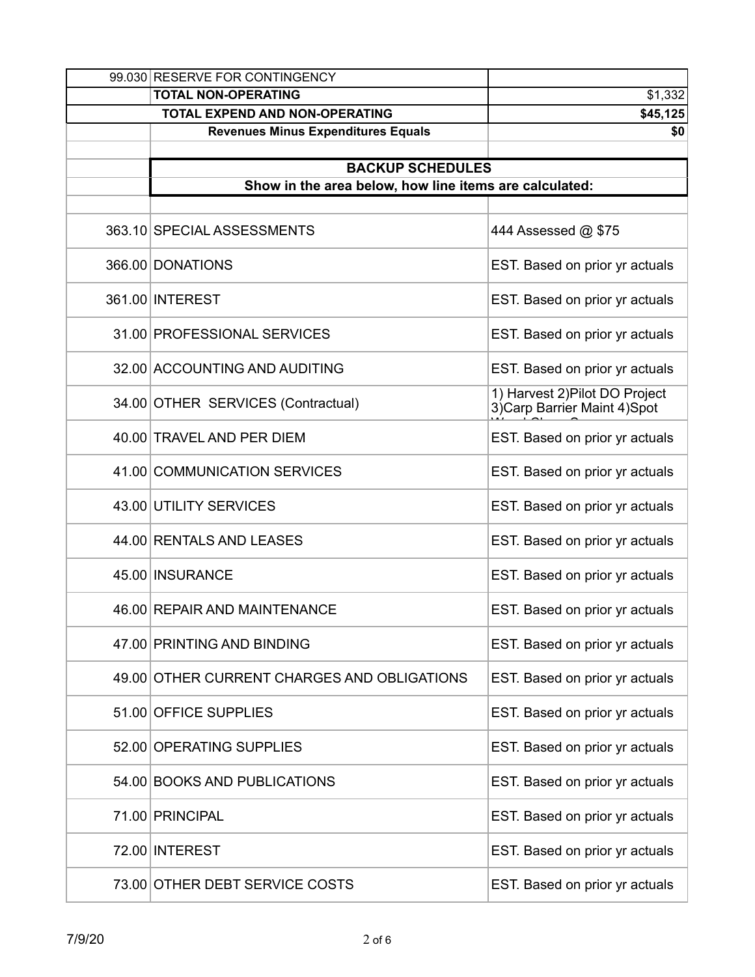| 99.030 RESERVE FOR CONTINGENCY                         |                                                                 |
|--------------------------------------------------------|-----------------------------------------------------------------|
| <b>TOTAL NON-OPERATING</b>                             | \$1,332                                                         |
| <b>TOTAL EXPEND AND NON-OPERATING</b>                  | \$45,125                                                        |
| <b>Revenues Minus Expenditures Equals</b>              | \$0                                                             |
| <b>BACKUP SCHEDULES</b>                                |                                                                 |
| Show in the area below, how line items are calculated: |                                                                 |
|                                                        |                                                                 |
| 363.10 SPECIAL ASSESSMENTS                             | 444 Assessed @ \$75                                             |
| 366.00 DONATIONS                                       | EST. Based on prior yr actuals                                  |
| 361.00 INTEREST                                        | EST. Based on prior yr actuals                                  |
| 31.00 PROFESSIONAL SERVICES                            | EST. Based on prior yr actuals                                  |
| 32.00 ACCOUNTING AND AUDITING                          | EST. Based on prior yr actuals                                  |
| 34.00 OTHER SERVICES (Contractual)                     | 1) Harvest 2) Pilot DO Project<br>3) Carp Barrier Maint 4) Spot |
| 40.00 TRAVEL AND PER DIEM                              | EST. Based on prior yr actuals                                  |
| 41.00 COMMUNICATION SERVICES                           | EST. Based on prior yr actuals                                  |
| 43.00 UTILITY SERVICES                                 | EST. Based on prior yr actuals                                  |
| 44.00 RENTALS AND LEASES                               | EST. Based on prior yr actuals                                  |
| 45.00 INSURANCE                                        | EST. Based on prior yr actuals                                  |
| 46.00 REPAIR AND MAINTENANCE                           | EST. Based on prior yr actuals                                  |
| 47.00 PRINTING AND BINDING                             | EST. Based on prior yr actuals                                  |
| 49.00 OTHER CURRENT CHARGES AND OBLIGATIONS            | EST. Based on prior yr actuals                                  |
| 51.00 OFFICE SUPPLIES                                  | EST. Based on prior yr actuals                                  |
| 52.00 OPERATING SUPPLIES                               | EST. Based on prior yr actuals                                  |
| 54.00 BOOKS AND PUBLICATIONS                           | EST. Based on prior yr actuals                                  |
| 71.00 PRINCIPAL                                        | EST. Based on prior yr actuals                                  |
| 72.00 INTEREST                                         | EST. Based on prior yr actuals                                  |
| 73.00 OTHER DEBT SERVICE COSTS                         | EST. Based on prior yr actuals                                  |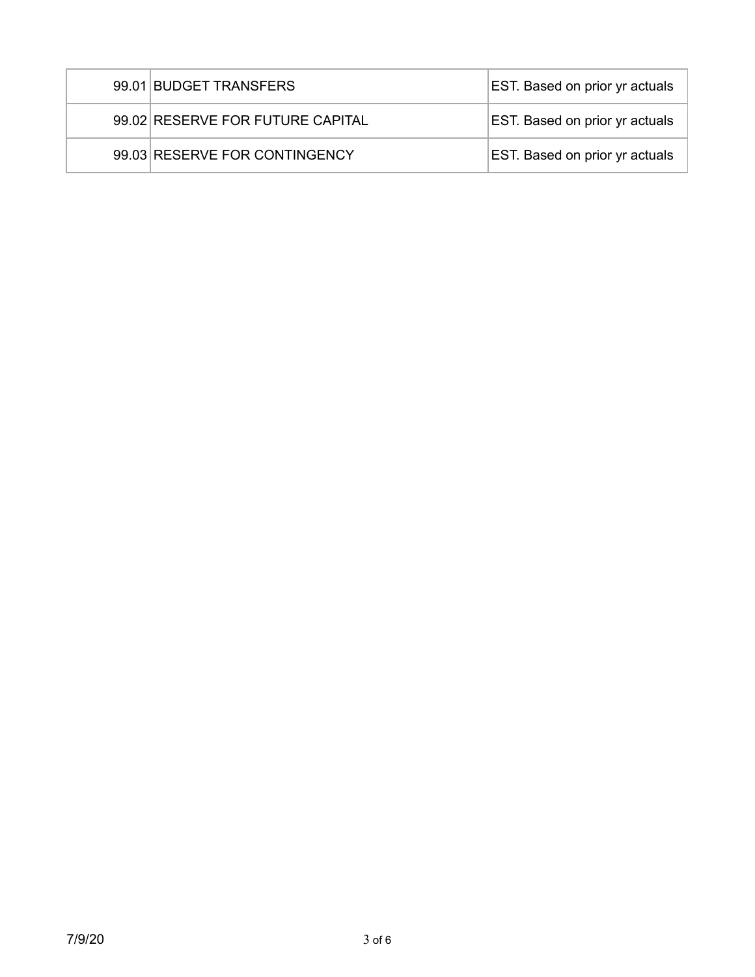| 99.01 BUDGET TRANSFERS           | <b>EST.</b> Based on prior yr actuals |
|----------------------------------|---------------------------------------|
| 99.02 RESERVE FOR FUTURE CAPITAL | <b>EST.</b> Based on prior yr actuals |
| 99.03 RESERVE FOR CONTINGENCY    | EST. Based on prior yr actuals        |